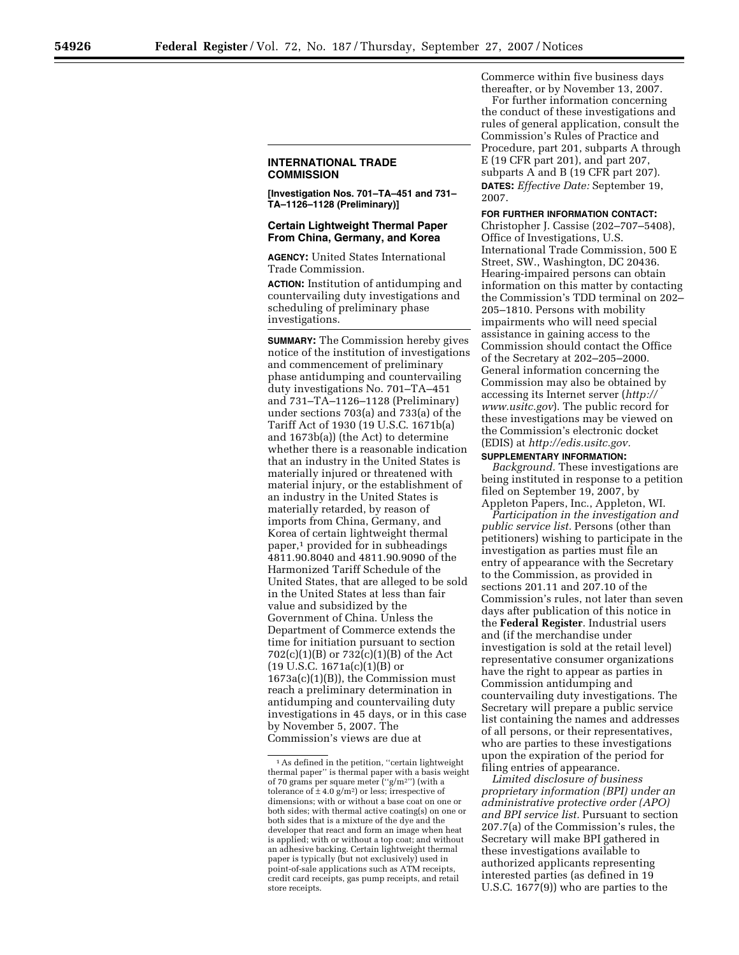**[Investigation Nos. 701–TA–451 and 731– TA–1126–1128 (Preliminary)]** 

## **Certain Lightweight Thermal Paper From China, Germany, and Korea**

**AGENCY:** United States International Trade Commission.

**ACTION:** Institution of antidumping and countervailing duty investigations and scheduling of preliminary phase investigations.

**SUMMARY:** The Commission hereby gives notice of the institution of investigations and commencement of preliminary phase antidumping and countervailing duty investigations No. 701–TA–451 and 731–TA–1126–1128 (Preliminary) under sections 703(a) and 733(a) of the Tariff Act of 1930 (19 U.S.C. 1671b(a) and 1673b(a)) (the Act) to determine whether there is a reasonable indication that an industry in the United States is materially injured or threatened with material injury, or the establishment of an industry in the United States is materially retarded, by reason of imports from China, Germany, and Korea of certain lightweight thermal paper,1 provided for in subheadings 4811.90.8040 and 4811.90.9090 of the Harmonized Tariff Schedule of the United States, that are alleged to be sold in the United States at less than fair value and subsidized by the Government of China. Unless the Department of Commerce extends the time for initiation pursuant to section 702(c)(1)(B) or 732(c)(1)(B) of the Act (19 U.S.C. 1671a(c)(1)(B) or 1673a(c)(1)(B)), the Commission must reach a preliminary determination in antidumping and countervailing duty investigations in 45 days, or in this case by November 5, 2007. The Commission's views are due at

Commerce within five business days thereafter, or by November 13, 2007. For further information concerning the conduct of these investigations and rules of general application, consult the Commission's Rules of Practice and Procedure, part 201, subparts A through E (19 CFR part 201), and part 207, subparts A and B (19 CFR part 207). **DATES:** *Effective Date:* September 19,

2007.

## **FOR FURTHER INFORMATION CONTACT:**

Christopher J. Cassise (202–707–5408), Office of Investigations, U.S. International Trade Commission, 500 E Street, SW., Washington, DC 20436. Hearing-impaired persons can obtain information on this matter by contacting the Commission's TDD terminal on 202– 205–1810. Persons with mobility impairments who will need special assistance in gaining access to the Commission should contact the Office of the Secretary at 202–205–2000. General information concerning the Commission may also be obtained by accessing its Internet server (*http:// www.usitc.gov*). The public record for these investigations may be viewed on the Commission's electronic docket (EDIS) at *http://edis.usitc.gov.* 

## **SUPPLEMENTARY INFORMATION:**

*Background.* These investigations are being instituted in response to a petition filed on September 19, 2007, by Appleton Papers, Inc., Appleton, WI.

*Participation in the investigation and public service list.* Persons (other than petitioners) wishing to participate in the investigation as parties must file an entry of appearance with the Secretary to the Commission, as provided in sections 201.11 and 207.10 of the Commission's rules, not later than seven days after publication of this notice in the **Federal Register**. Industrial users and (if the merchandise under investigation is sold at the retail level) representative consumer organizations have the right to appear as parties in Commission antidumping and countervailing duty investigations. The Secretary will prepare a public service list containing the names and addresses of all persons, or their representatives, who are parties to these investigations upon the expiration of the period for filing entries of appearance.

*Limited disclosure of business proprietary information (BPI) under an administrative protective order (APO) and BPI service list.* Pursuant to section 207.7(a) of the Commission's rules, the Secretary will make BPI gathered in these investigations available to authorized applicants representing interested parties (as defined in 19 U.S.C. 1677(9)) who are parties to the

<sup>&</sup>lt;sup>1</sup> As defined in the petition, "certain lightweight thermal paper'' is thermal paper with a basis weight of 70 grams per square meter (''g/m2'') (with a tolerance of  $\pm$  4.0 g/m<sup>2</sup>) or less; irrespective of dimensions; with or without a base coat on one or both sides; with thermal active coating(s) on one or both sides that is a mixture of the dye and the developer that react and form an image when heat is applied; with or without a top coat; and without an adhesive backing. Certain lightweight thermal paper is typically (but not exclusively) used in point-of-sale applications such as ATM receipts, credit card receipts, gas pump receipts, and retail store receipts.